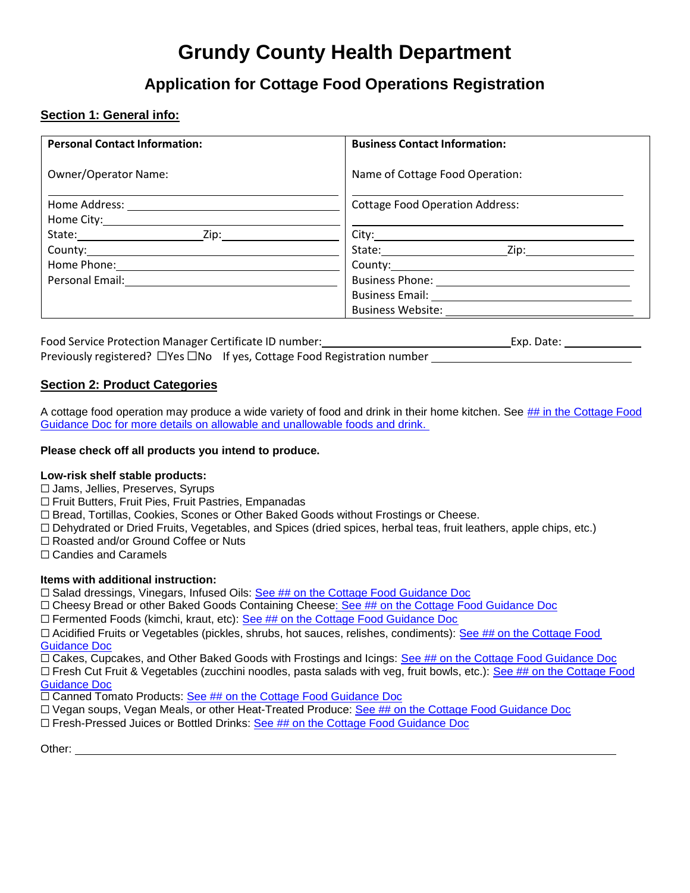## **Grundy County Health Department**

### **Application for Cottage Food Operations Registration**

#### **Section 1: General info:**

| <b>Personal Contact Information:</b>         | <b>Business Contact Information:</b>         |
|----------------------------------------------|----------------------------------------------|
| <b>Owner/Operator Name:</b>                  | Name of Cottage Food Operation:              |
| Home Address: <u>_______________________</u> | <b>Cottage Food Operation Address:</b>       |
|                                              |                                              |
|                                              |                                              |
|                                              | State: <u>Zip:</u> Zip:                      |
|                                              |                                              |
| Personal Email: <u>________________</u>      |                                              |
|                                              | Business Email: <u>_____________________</u> |
|                                              | <b>Business Website:</b>                     |

Food Service Protection Manager Certificate ID number: Exp. Date: Exp. Date: Previously registered? ⬜Yes ⬜No If yes, Cottage Food Registration number

#### **Section 2: Product Categories**

A cottage food operation may produce a wide variety of food and drink in their home kitchen. See ## in the Cottage Food Guidance Doc for more details on allowable and unallowable foods and drink.

#### **Please check off all products you intend to produce.**

#### **Low-risk shelf stable products:**

- □ Jams, Jellies, Preserves, Syrups
- □ Fruit Butters, Fruit Pies, Fruit Pastries, Empanadas
- □ Bread, Tortillas, Cookies, Scones or Other Baked Goods without Frostings or Cheese.
- □ Dehydrated or Dried Fruits, Vegetables, and Spices (dried spices, herbal teas, fruit leathers, apple chips, etc.)
- □ Roasted and/or Ground Coffee or Nuts
- □ Candies and Caramels

#### **Items with additional instruction:**

- □ Salad dressings, Vinegars, Infused Oils: See ## on the Cottage Food Guidance Doc
- $\Box$  Cheesy Bread or other Baked Goods Containing Cheese: See ## on the Cottage Food Guidance Doc
- $\Box$  Fermented Foods (kimchi, kraut, etc): See ## on the Cottage Food Guidance Doc

□ Acidified Fruits or Vegetables (pickles, shrubs, hot sauces, relishes, condiments): See ## on the Cottage Food Guidance Doc

□ Cakes, Cupcakes, and Other Baked Goods with Frostings and Icings: See ## on the Cottage Food Guidance Doc □ Fresh Cut Fruit & Vegetables (zucchini noodles, pasta salads with veg, fruit bowls, etc.): See ## on the Cottage Food

Guidance Doc

□ Canned Tomato Products: See ## on the Cottage Food Guidance Doc

- □ Vegan soups, Vegan Meals, or other Heat-Treated Produce: See ## on the Cottage Food Guidance Doc
- $\square$  Fresh-Pressed Juices or Bottled Drinks: See  $\#$ # on the Cottage Food Guidance Doc

Other: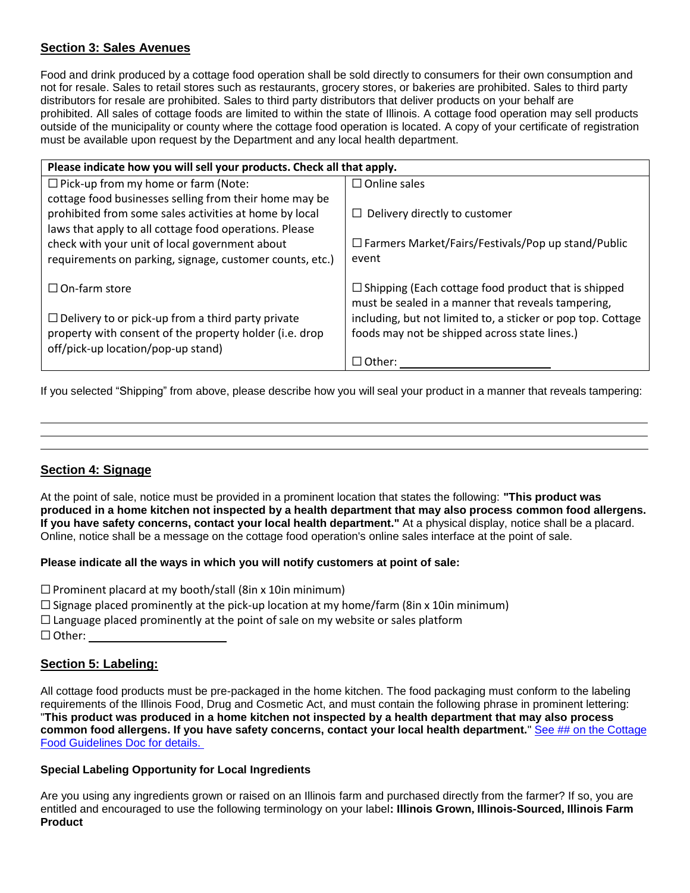#### **Section 3: Sales Avenues**

Food and drink produced by a cottage food operation shall be sold directly to consumers for their own consumption and not for resale. Sales to retail stores such as restaurants, grocery stores, or bakeries are prohibited. Sales to third party distributors for resale are prohibited. Sales to third party distributors that deliver products on your behalf are prohibited. All sales of cottage foods are limited to within the state of Illinois. A cottage food operation may sell products outside of the municipality or county where the cottage food operation is located. A copy of your certificate of registration must be available upon request by the Department and any local health department.

| Please indicate how you will sell your products. Check all that apply. |                                                                                                                  |  |  |  |
|------------------------------------------------------------------------|------------------------------------------------------------------------------------------------------------------|--|--|--|
| $\Box$ Pick-up from my home or farm (Note:                             | $\Box$ Online sales                                                                                              |  |  |  |
| cottage food businesses selling from their home may be                 |                                                                                                                  |  |  |  |
| prohibited from some sales activities at home by local                 | $\Box$ Delivery directly to customer                                                                             |  |  |  |
| laws that apply to all cottage food operations. Please                 |                                                                                                                  |  |  |  |
| check with your unit of local government about                         | $\Box$ Farmers Market/Fairs/Festivals/Pop up stand/Public                                                        |  |  |  |
| requirements on parking, signage, customer counts, etc.)               | event                                                                                                            |  |  |  |
| $\Box$ On-farm store                                                   | $\Box$ Shipping (Each cottage food product that is shipped<br>must be sealed in a manner that reveals tampering, |  |  |  |
| $\Box$ Delivery to or pick-up from a third party private               | including, but not limited to, a sticker or pop top. Cottage                                                     |  |  |  |
| property with consent of the property holder (i.e. drop                | foods may not be shipped across state lines.)                                                                    |  |  |  |
| off/pick-up location/pop-up stand)                                     |                                                                                                                  |  |  |  |
|                                                                        | $\Box$ Other:                                                                                                    |  |  |  |

If you selected "Shipping" from above, please describe how you will seal your product in a manner that reveals tampering:

# **Section 4: Signage**

At the point of sale, notice must be provided in a prominent location that states the following: **"This product was** produced in a home kitchen not inspected by a health department that may also process common food allergens. **If you have safety concerns, contact your local health department."** At a physical display, notice shall be a placard. Online, notice shall be a message on the cottage food operation's online sales interface at the point of sale.

#### **Please indicate all the ways in which you will notify customers at point of sale:**

 $\square$  Prominent placard at my booth/stall (8in x 10in minimum)

- $\square$  Signage placed prominently at the pick-up location at my home/farm (8in x 10in minimum)
- $\square$  Language placed prominently at the point of sale on my website or sales platform
- □ Other:

#### **Section 5: Labeling:**

All cottage food products must be pre-packaged in the home kitchen. The food packaging must conform to the labeling requirements of the Illinois Food, Drug and Cosmetic Act, and must contain the following phrase in prominent lettering: "**This product was produced in a home kitchen not inspected by a health department that may also process common food allergens. If you have safety concerns, contact your local health department.**" See ## on the Cottage Food Guidelines Doc for details.

#### **Special Labeling Opportunity for Local Ingredients**

Are you using any ingredients grown or raised on an Illinois farm and purchased directly from the farmer? If so, you are entitled and encouraged to use the following terminology on your label**: Illinois Grown, Illinois-Sourced, Illinois Farm Product**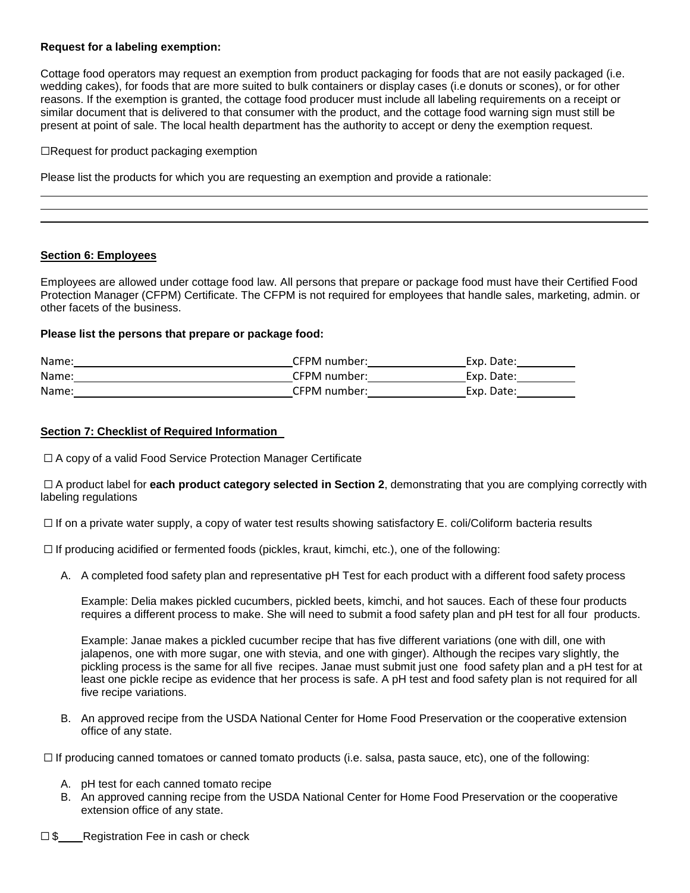#### **Request for a labeling exemption:**

Cottage food operators may request an exemption from product packaging for foods that are not easily packaged (i.e. wedding cakes), for foods that are more suited to bulk containers or display cases (i.e donuts or scones), or for other reasons. If the exemption is granted, the cottage food producer must include all labeling requirements on a receipt or similar document that is delivered to that consumer with the product, and the cottage food warning sign must still be present at point of sale. The local health department has the authority to accept or deny the exemption request.

 $\Box$ Request for product packaging exemption

Please list the products for which you are requesting an exemption and provide a rationale:

#### **Section 6: Employees**

Employees are allowed under cottage food law. All persons that prepare or package food must have their Certified Food Protection Manager (CFPM) Certificate. The CFPM is not required for employees that handle sales, marketing, admin. or other facets of the business.

#### **Please list the persons that prepare or package food:**

| Name: | CFPM number: | Exp. Date: |
|-------|--------------|------------|
| Name: | CFPM number: | Exp. Date: |
| Name: | CFPM number: | Exp. Date: |

#### **Section 7: Checklist of Required Information**

□ A copy of a valid Food Service Protection Manager Certificate

□ A product label for **each product category selected in Section 2**, demonstrating that you are complying correctly with labeling regulations

 $\Box$  If on a private water supply, a copy of water test results showing satisfactory E. coli/Coliform bacteria results

 $\Box$  If producing acidified or fermented foods (pickles, kraut, kimchi, etc.), one of the following:

A. A completed food safety plan and representative pH Test for each product with a different food safety process

Example: Delia makes pickled cucumbers, pickled beets, kimchi, and hot sauces. Each of these four products requires a different process to make. She will need to submit a food safety plan and pH test for all four products.

Example: Janae makes a pickled cucumber recipe that has five different variations (one with dill, one with jalapenos, one with more sugar, one with stevia, and one with ginger). Although the recipes vary slightly, the pickling process is the same for all five recipes. Janae must submit just one food safety plan and a pH test for at least one pickle recipe as evidence that her process is safe. A pH test and food safety plan is not required for all five recipe variations.

B. An approved recipe from the USDA National Center for Home Food Preservation or the cooperative extension office of any state.

□ If producing canned tomatoes or canned tomato products (i.e. salsa, pasta sauce, etc), one of the following:

- A. pH test for each canned tomato recipe
- B. An approved canning recipe from the USDA National Center for Home Food Preservation or the cooperative extension office of any state.
- □ \$ Registration Fee in cash or check